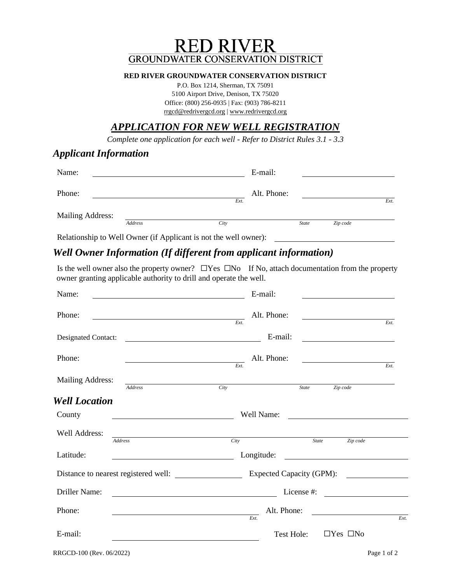# **RED RIVER GROUNDWATER CONSERVATION DISTRICT**

#### **RED RIVER GROUNDWATER CONSERVATION DISTRICT**

P.O. Box 1214, Sherman, TX 75091 5100 Airport Drive, Denison, TX 75020 Office: (800) 256-0935 | Fax: (903) 786-8211 [rrgcd@redrivergcd.org](mailto:rrgcd@redrivergcd.org) | [www.redrivergcd.org](http://www.redrivergcd.org/)

# *APPLICATION FOR NEW WELL REGISTRATION*

*Complete one application for each well - Refer to District Rules 3.1 - 3.3*

#### *Applicant Information*

| Name:            |         |      | E-mail:     |              |          |      |
|------------------|---------|------|-------------|--------------|----------|------|
| Phone:           |         | Ext. | Alt. Phone: |              |          | Ext. |
| Mailing Address: | Address | City |             | <b>State</b> | Zip code |      |

Relationship to Well Owner (if Applicant is not the well owner):

# *Well Owner Information (If different from applicant information)*

Is the well owner also the property owner? ☐Yes ☐No If No, attach documentation from the property owner granting applicable authority to drill and operate the well.

| Name:                | <u> 1989 - Johann Barbara, martin amerikan basar dan berasal dan berasal dalam basar dalam basar dalam basar dala</u> | E-mail:                                                                                                                                                                                                                                                             |              |                                   |      |
|----------------------|-----------------------------------------------------------------------------------------------------------------------|---------------------------------------------------------------------------------------------------------------------------------------------------------------------------------------------------------------------------------------------------------------------|--------------|-----------------------------------|------|
| Phone:               | <u> 1989 - Johann Barbara, martin amerikan basar dan berasal dan berasal dalam basar dalam basar dalam basar dala</u> | Alt. Phone:<br>Ext.                                                                                                                                                                                                                                                 |              |                                   | Ext. |
| Designated Contact:  |                                                                                                                       | E-mail:                                                                                                                                                                                                                                                             |              |                                   |      |
| Phone:               | <u> 1989 - Johann Barn, amerikansk politiker (</u>                                                                    | Alt. Phone:<br>Ext.                                                                                                                                                                                                                                                 |              |                                   | Ext. |
| Mailing Address:     | Address                                                                                                               | Citv                                                                                                                                                                                                                                                                | <b>State</b> | Zip code                          |      |
| <b>Well Location</b> |                                                                                                                       |                                                                                                                                                                                                                                                                     |              |                                   |      |
| County               | Well Name:                                                                                                            |                                                                                                                                                                                                                                                                     |              |                                   |      |
| Well Address:        | <u> 1989 - Andrea Station Barbara, amerikan per</u>                                                                   |                                                                                                                                                                                                                                                                     |              |                                   |      |
| Address<br>Latitude: |                                                                                                                       | City<br>Longitude:                                                                                                                                                                                                                                                  | <b>State</b> | Zip code                          |      |
|                      |                                                                                                                       |                                                                                                                                                                                                                                                                     |              | Expected Capacity (GPM):          |      |
| Driller Name:        |                                                                                                                       | <u> 1980 - Johann Barnett, fransk politik (f. 1980)</u>                                                                                                                                                                                                             |              | License #: $\qquad \qquad \qquad$ |      |
| Phone:               |                                                                                                                       | Alt. Phone:<br><u>and the company of the company of the company of the company of the company of the company of the company of the company of the company of the company of the company of the company of the company of the company of the com</u><br>Ext.<br>Ext. |              |                                   |      |
| E-mail:              |                                                                                                                       |                                                                                                                                                                                                                                                                     | Test Hole:   | $\Box$ Yes $\Box$ No              |      |